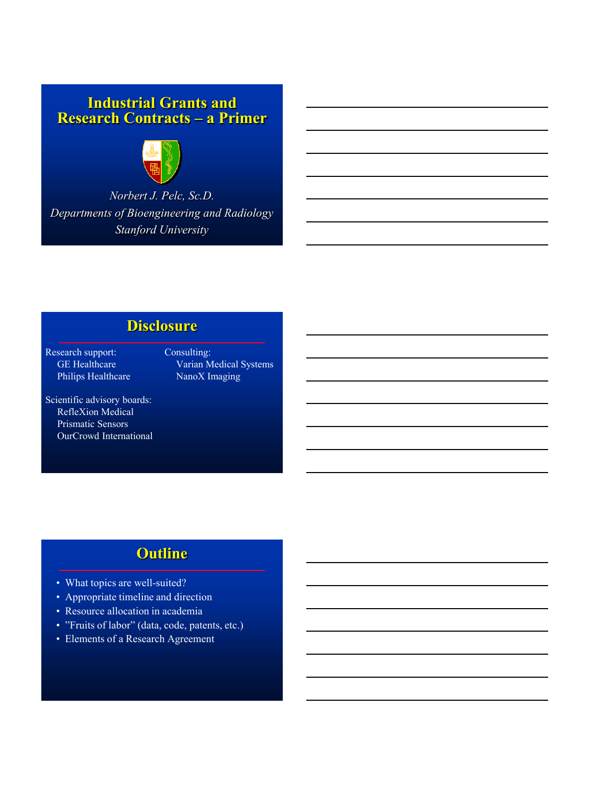### **Industrial Grants and Research Contracts – a Primer**



*Norbert J. Pelc, Sc.D. Departments of Bioengineering and Radiology Stanford University*

# **Disclosure**

Research support: Consulting: Philips Healthcare

GE Healthcare Varian Medical Systems<br>
Philips Healthcare NanoX Imaging

Scientific advisory boards: RefleXion Medical Prismatic Sensors OurCrowd International

## **Outline**

- What topics are well-suited?
- Appropriate timeline and direction
- Resource allocation in academia
- "Fruits of labor" (data, code, patents, etc.)
- Elements of a Research Agreement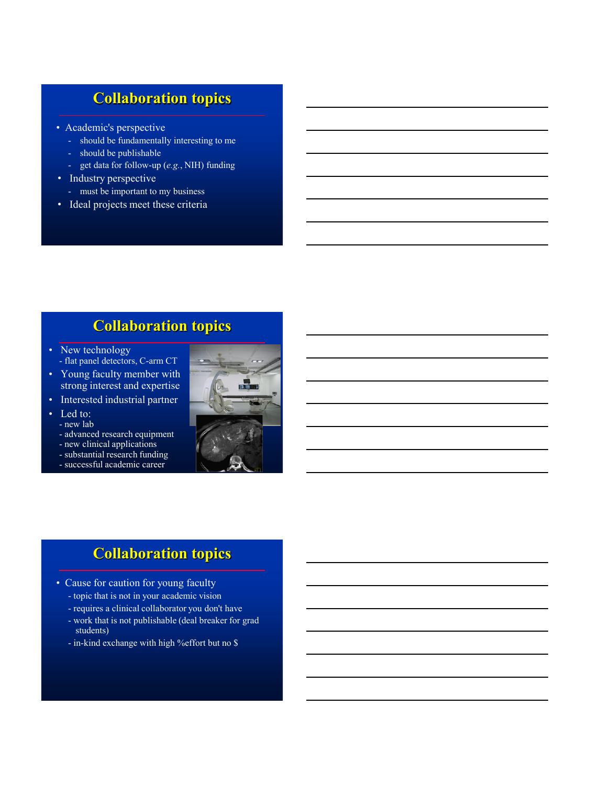# **Collaboration topics**

- Academic's perspective
	- should be fundamentally interesting to me
	- should be publishable
	- get data for follow-up (*e.g.*, NIH) funding
- Industry perspective
	- must be important to my business
- Ideal projects meet these criteria

# **Collaboration topics**

- New technology - flat panel detectors, C-arm CT
- Young faculty member with strong interest and expertise
- Interested industrial partner
- Led to:
	- new lab
	- advanced research equipment
	- new clinical applications - substantial research funding
	- successful academic career



### **Collaboration topics**

- Cause for caution for young faculty
	- topic that is not in your academic vision
	- requires a clinical collaborator you don't have
	- work that is not publishable (deal breaker for grad students)
	- in-kind exchange with high %effort but no \$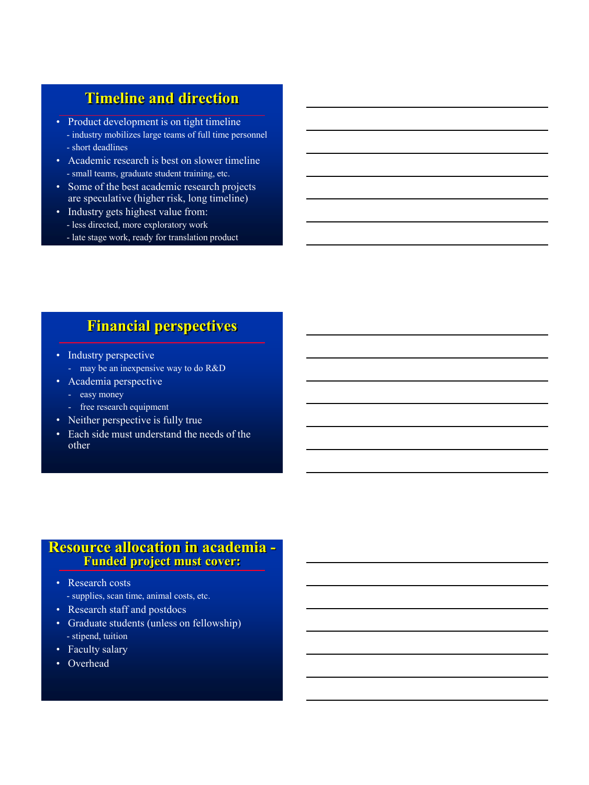## **Timeline and direction**

- Product development is on tight timeline - industry mobilizes large teams of full time personnel - short deadlines
- Academic research is best on slower timeline - small teams, graduate student training, etc.
- Some of the best academic research projects are speculative (higher risk, long timeline)
- Industry gets highest value from: - less directed, more exploratory work
	- late stage work, ready for translation product

### **Financial perspectives**

- Industry perspective
	- may be an inexpensive way to do R&D
- Academia perspective
	- easy money
	- free research equipment
- Neither perspective is fully true
- Each side must understand the needs of the other

#### **Resource allocation in academia - Funded project must cover:**

- Research costs
	- supplies, scan time, animal costs, etc.
- Research staff and postdocs
- Graduate students (unless on fellowship) - stipend, tuition
- Faculty salary
- Overhead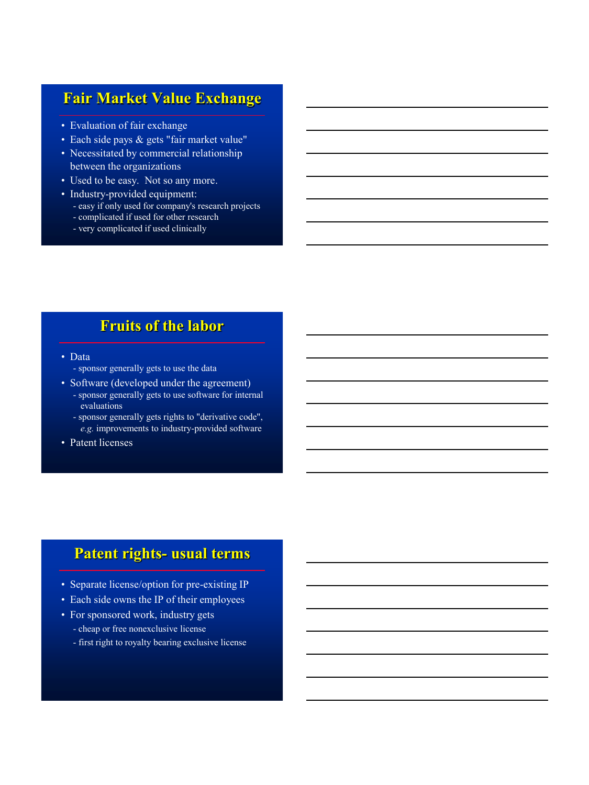## **Fair Market Value Exchange**

- Evaluation of fair exchange
- Each side pays & gets "fair market value"
- Necessitated by commercial relationship between the organizations
- Used to be easy. Not so any more.
- Industry-provided equipment:
	- easy if only used for company's research projects
	- complicated if used for other research
	- very complicated if used clinically

## **Fruits of the labor**

- Data
	- sponsor generally gets to use the data
- Software (developed under the agreement) - sponsor generally gets to use software for internal evaluations
	- sponsor generally gets rights to "derivative code", *e.g.* improvements to industry-provided software
- Patent licenses

### **Patent rights- usual terms**

- Separate license/option for pre-existing IP
- Each side owns the IP of their employees
- For sponsored work, industry gets
	- cheap or free nonexclusive license
	- first right to royalty bearing exclusive license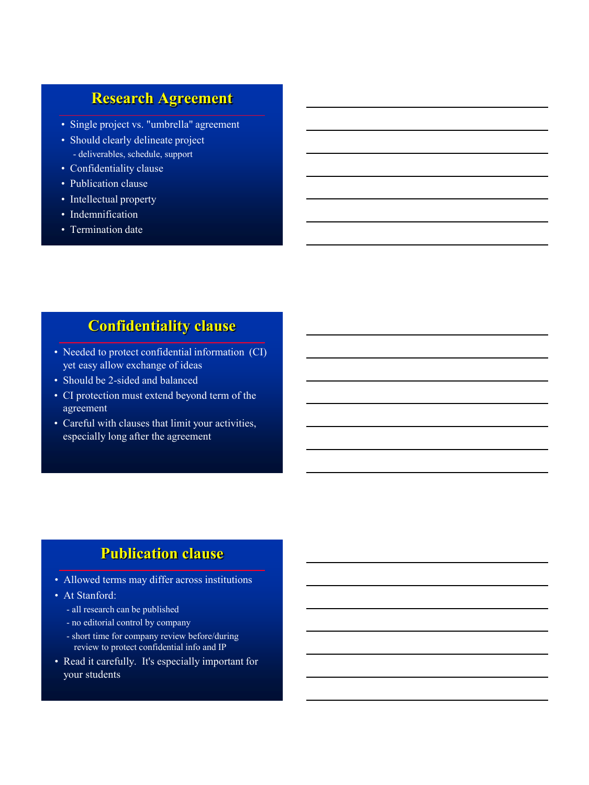## **Research Agreement**

- Single project vs. "umbrella" agreement
- Should clearly delineate project - deliverables, schedule, support
- Confidentiality clause
- Publication clause
- Intellectual property
- Indemnification
- Termination date

# **Confidentiality clause**

- Needed to protect confidential information (CI) yet easy allow exchange of ideas
- Should be 2-sided and balanced
- CI protection must extend beyond term of the agreement
- Careful with clauses that limit your activities, especially long after the agreement

## **Publication clause**

- Allowed terms may differ across institutions
- At Stanford:
	- all research can be published
	- no editorial control by company
	- short time for company review before/during review to protect confidential info and IP
- Read it carefully. It's especially important for your students